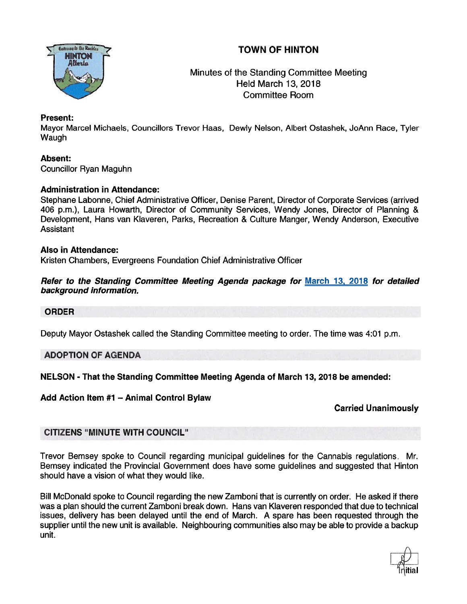

# TOWN OF HINTON

 Minutes of the Standing Committee Meeting . Held March 13, 2018 Committee Room

# Present:

Mayor Marcel Michaels, Councillors Trevor Haas, Dewly Nelson, Albert Ostashek, JoAnn Race, Tyler Waugh

# Absent:

Councillor Ryan Maguhn

# Administration in Attendance:

Stephane Labonne, Chief Administrative Officer, Denise Parent, Director of Corporate Services (arrived 406 p.m.), Laura Howarth, Director of Community Services, Wendy Jones, Director of Planning & Development, Hans van Klaveren, Parks, Recreation & Culture Manger, Wendy Anderson, Executive **Assistant** 

#### Also in Attendance:

Kristen Chambers, Evergreens Foundation Chief Administrative Officer

### Refer to the Standing Committee Meeting Agenda package for March 13, 2018 for detailed background information.

# ORDER

Deputy Mayor Ostashek called the Standing Committee meeting to order. The time was 4:01 p.m.

# ADOPTION OF AGENDA

NELSON - That the Standing Committee Meeting Agenda of March 13, 2018 be amended:

# Add Action Item #1 — Animal Control Bylaw

# Carried Unanimously

# CITIZENS "MINUTE WITH COUNCIL"

Trevor Bemsey spoke to Council regarding municipal guidelines for the Cannabis regulations. Mr. Bemsey indicated the Provincial Government does have some guidelines and suggested that Hinton should have <sup>a</sup> vision of what they would like.

Bill McDonald spoke to Council regarding the new Zamboni that is currently on order. He asked if there was <sup>a</sup> plan should the current Zamboni break down. Hans van Klaveren responded that due to technical issues, delivery has been delayed until the end of March. A spare has been requested through the supplier until the new unit is available. Neighbouring communities also may be able to provide <sup>a</sup> backup unit.

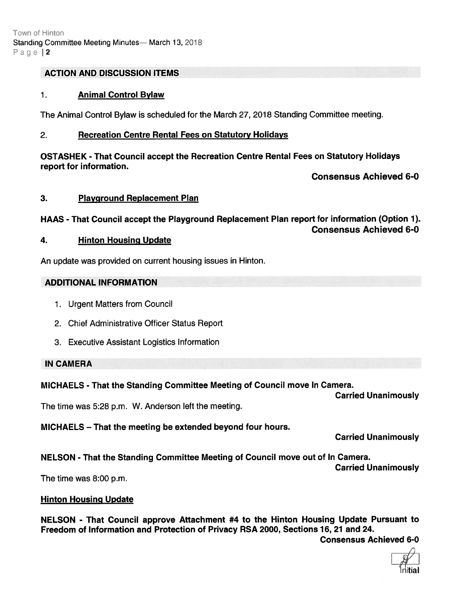### ACTION AND DISCUSSION ITEMS

#### 1. Animal Control Bylaw

The Animal Control Bylaw is scheduled for the March 27, 2018 Standing Committee meeting.

#### 2. Recreation Centre Rental Fees on Statutory Holidays

OSTASHEK - That Council accep<sup>t</sup> the Recreation Centre Rental Fees on Statutory Holidays repor<sup>t</sup> for information.

Consensus Achieved 6-0

#### 3. Playground Replacement Plan

#### HAAS -That Council accep<sup>t</sup> the Playground Replacement Plan repor<sup>t</sup> for information (Option 1). Consensus Achieved 6-0

#### 4. Hinton Housing Update

An update was provided on current housing issues in Hinton.

#### ADDITIONAL INFORMATION

- 1. Urgent Matters from Council
- 2. Chief Administrative Officer Status Report
- 3. Executive Assistant Logistics Information

#### IN CAMERA

# MICHAELS -That the Standing Committee Meeting of Council move In Camera.

Carried Unanimously

The time was 5:28 p.m. W. Anderson left the meeting.

# MICHAELS — That the meeting be extended beyond four hours.

Carried Unanimously

NELSON - That the Standing Committee Meeting of Council move out of In Camera.

Carried Unanimously

The time was 8:00 p.m.

# Hinton Housing Update

NELSON - That Council approve Attachment #4 to the Hinton Housing Update Pursuant to Freedom of Information and Protection of Privacy RSA 2000, Sections 16, 21 and 24.

Consensus Achieved 6-0